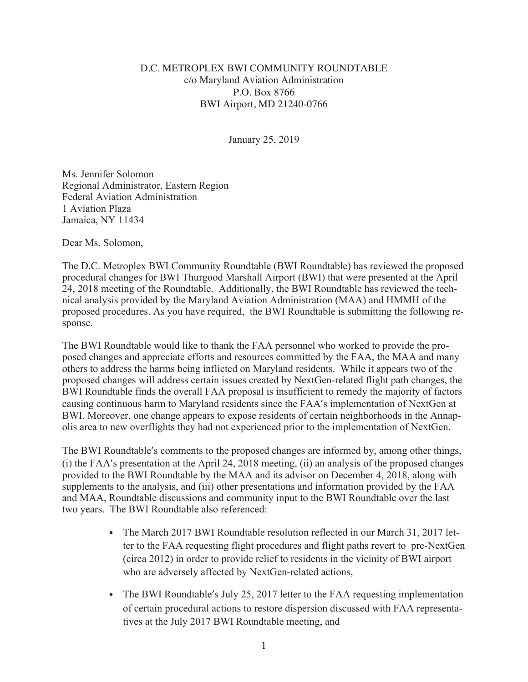## D.C. METROPLEX BWI COMMUNITY ROUNDTABLE c/o Maryland Aviation Administration P.O. Box 8766 BWI Airport, MD 21240-0766

January 25, 2019

Ms. Jennifer Solomon Regional Administrator, Eastern Region Federal Aviation Administration 1 Aviation Plaza Jamaica, NY 11434

Dear Ms. Solomon,

The D.C. Metroplex BWI Community Roundtable (BWI Roundtable) has reviewed the proposed procedural changes for BWI Thurgood Marshall Airport (BWI) that were presented at the April 24, 2018 meeting of the Roundtable. Additionally, the BWI Roundtable has reviewed the technical analysis provided by the Maryland Aviation Administration (MAA) and HMMH of the proposed procedures. As you have required, the BWI Roundtable is submitting the following response.

The BWI Roundtable would like to thank the FAA personnel who worked to provide the proposed changes and appreciate efforts and resources committed by the FAA, the MAA and many others to address the harms being inflicted on Maryland residents. While it appears two of the proposed changes will address certain issues created by NextGen-related flight path changes, the BWI Roundtable finds the overall FAA proposal is insufficient to remedy the majority of factors causing continuous harm to Maryland residents since the FAA's implementation of NextGen at BWI. Moreover, one change appears to expose residents of certain neighborhoods in the Annapolis area to new overflights they had not experienced prior to the implementation of NextGen.

The BWI Roundtable's comments to the proposed changes are informed by, among other things, (i) the FAA's presentation at the April 24, 2018 meeting, (ii) an analysis of the proposed changes provided to the BWI Roundtable by the MAA and its advisor on December 4, 2018, along with supplements to the analysis, and (iii) other presentations and information provided by the FAA and MAA, Roundtable discussions and community input to the BWI Roundtable over the last two years. The BWI Roundtable also referenced:

- The March 2017 BWI Roundtable resolution reflected in our March 31, 2017 letter to the FAA requesting flight procedures and flight paths revert to pre-NextGen (circa 2012) in order to provide relief to residents in the vicinity of BWI airport who are adversely affected by NextGen-related actions,
- The BWI Roundtable's July 25, 2017 letter to the FAA requesting implementation of certain procedural actions to restore dispersion discussed with FAA representatives at the July 2017 BWI Roundtable meeting, and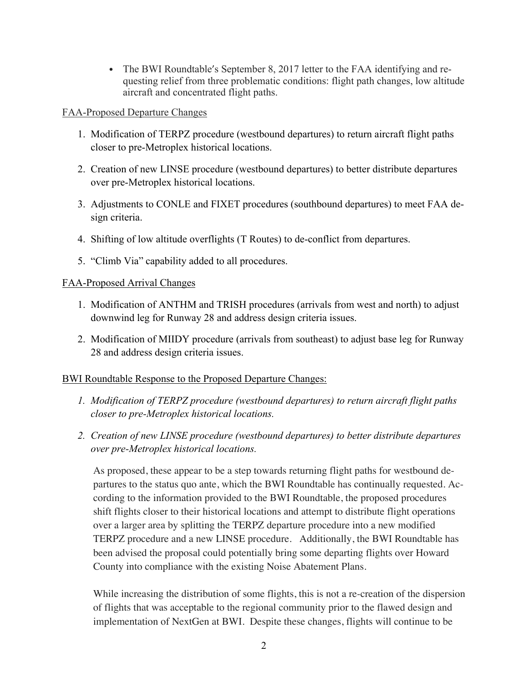• The BWI Roundtable's September 8, 2017 letter to the FAA identifying and requesting relief from three problematic conditions: flight path changes, low altitude aircraft and concentrated flight paths.

## FAA-Proposed Departure Changes

- 1. Modification of TERPZ procedure (westbound departures) to return aircraft flight paths closer to pre-Metroplex historical locations.
- 2. Creation of new LINSE procedure (westbound departures) to better distribute departures over pre-Metroplex historical locations.
- 3. Adjustments to CONLE and FIXET procedures (southbound departures) to meet FAA design criteria.
- 4. Shifting of low altitude overflights (T Routes) to de-conflict from departures.
- 5. "Climb Via" capability added to all procedures.

# FAA-Proposed Arrival Changes

- 1. Modification of ANTHM and TRISH procedures (arrivals from west and north) to adjust downwind leg for Runway 28 and address design criteria issues.
- 2. Modification of MIIDY procedure (arrivals from southeast) to adjust base leg for Runway 28 and address design criteria issues.

# BWI Roundtable Response to the Proposed Departure Changes:

- *1. Modification of TERPZ procedure (westbound departures) to return aircraft flight paths closer to pre-Metroplex historical locations.*
- *2. Creation of new LINSE procedure (westbound departures) to better distribute departures over pre-Metroplex historical locations.*

As proposed, these appear to be a step towards returning flight paths for westbound departures to the status quo ante, which the BWI Roundtable has continually requested. According to the information provided to the BWI Roundtable, the proposed procedures shift flights closer to their historical locations and attempt to distribute flight operations over a larger area by splitting the TERPZ departure procedure into a new modified TERPZ procedure and a new LINSE procedure. Additionally, the BWI Roundtable has been advised the proposal could potentially bring some departing flights over Howard County into compliance with the existing Noise Abatement Plans.

While increasing the distribution of some flights, this is not a re-creation of the dispersion of flights that was acceptable to the regional community prior to the flawed design and implementation of NextGen at BWI. Despite these changes, flights will continue to be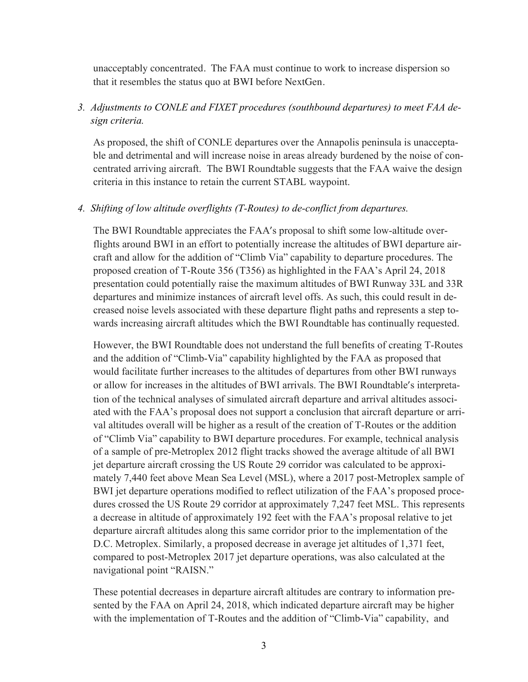unacceptably concentrated. The FAA must continue to work to increase dispersion so that it resembles the status quo at BWI before NextGen.

# *3. Adjustments to CONLE and FIXET procedures (southbound departures) to meet FAA design criteria.*

As proposed, the shift of CONLE departures over the Annapolis peninsula is unacceptable and detrimental and will increase noise in areas already burdened by the noise of concentrated arriving aircraft. The BWI Roundtable suggests that the FAA waive the design criteria in this instance to retain the current STABL waypoint.

#### *4. Shifting of low altitude overflights (T-Routes) to de-conflict from departures.*

The BWI Roundtable appreciates the FAA's proposal to shift some low-altitude overflights around BWI in an effort to potentially increase the altitudes of BWI departure aircraft and allow for the addition of "Climb Via" capability to departure procedures. The proposed creation of T-Route 356 (T356) as highlighted in the FAA's April 24, 2018 presentation could potentially raise the maximum altitudes of BWI Runway 33L and 33R departures and minimize instances of aircraft level offs. As such, this could result in decreased noise levels associated with these departure flight paths and represents a step towards increasing aircraft altitudes which the BWI Roundtable has continually requested.

However, the BWI Roundtable does not understand the full benefits of creating T-Routes and the addition of "Climb-Via" capability highlighted by the FAA as proposed that would facilitate further increases to the altitudes of departures from other BWI runways or allow for increases in the altitudes of BWI arrivals. The BWI Roundtable's interpretation of the technical analyses of simulated aircraft departure and arrival altitudes associated with the FAA's proposal does not support a conclusion that aircraft departure or arrival altitudes overall will be higher as a result of the creation of T-Routes or the addition of "Climb Via" capability to BWI departure procedures. For example, technical analysis of a sample of pre-Metroplex 2012 flight tracks showed the average altitude of all BWI jet departure aircraft crossing the US Route 29 corridor was calculated to be approximately 7,440 feet above Mean Sea Level (MSL), where a 2017 post-Metroplex sample of BWI jet departure operations modified to reflect utilization of the FAA's proposed procedures crossed the US Route 29 corridor at approximately 7,247 feet MSL. This represents a decrease in altitude of approximately 192 feet with the FAA's proposal relative to jet departure aircraft altitudes along this same corridor prior to the implementation of the D.C. Metroplex. Similarly, a proposed decrease in average jet altitudes of 1,371 feet, compared to post-Metroplex 2017 jet departure operations, was also calculated at the navigational point "RAISN."

These potential decreases in departure aircraft altitudes are contrary to information presented by the FAA on April 24, 2018, which indicated departure aircraft may be higher with the implementation of T-Routes and the addition of "Climb-Via" capability, and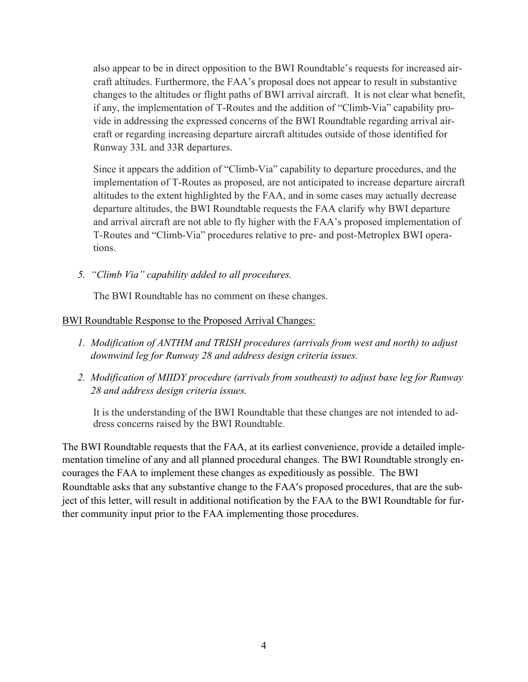also appear to be in direct opposition to the BWI Roundtable's requests for increased aircraft altitudes. Furthermore, the FAA's proposal does not appear to result in substantive changes to the altitudes or flight paths of BWI arrival aircraft. It is not clear what benefit, if any, the implementation of T-Routes and the addition of "Climb-Via" capability provide in addressing the expressed concerns of the BWI Roundtable regarding arrival aircraft or regarding increasing departure aircraft altitudes outside of those identified for Runway 33L and 33R departures.

Since it appears the addition of "Climb-Via" capability to departure procedures, and the implementation of T-Routes as proposed, are not anticipated to increase departure aircraft altitudes to the extent highlighted by the FAA, and in some cases may actually decrease departure altitudes, the BWI Roundtable requests the FAA clarify why BWI departure and arrival aircraft are not able to fly higher with the FAA's proposed implementation of T-Routes and "Climb-Via" procedures relative to pre- and post-Metroplex BWI operations.

*5. "Climb Via" capability added to all procedures.*

The BWI Roundtable has no comment on these changes.

#### BWI Roundtable Response to the Proposed Arrival Changes:

- *1. Modification of ANTHM and TRISH procedures (arrivals from west and north) to adjust downwind leg for Runway 28 and address design criteria issues.*
- *2. Modification of MIIDY procedure (arrivals from southeast) to adjust base leg for Runway 28 and address design criteria issues.*

It is the understanding of the BWI Roundtable that these changes are not intended to address concerns raised by the BWI Roundtable.

The BWI Roundtable requests that the FAA, at its earliest convenience, provide a detailed implementation timeline of any and all planned procedural changes. The BWI Roundtable strongly encourages the FAA to implement these changes as expeditiously as possible. The BWI Roundtable asks that any substantive change to the FAA's proposed procedures, that are the subject of this letter, will result in additional notification by the FAA to the BWI Roundtable for further community input prior to the FAA implementing those procedures.